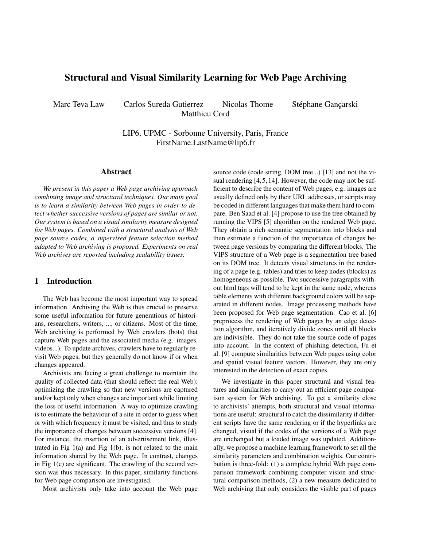# Structural and Visual Similarity Learning for Web Page Archiving

Marc Teva Law Carlos Sureda Gutierrez Nicolas Thome Stéphane Gancarski Matthieu Cord

LIP6, UPMC - Sorbonne University, Paris, France FirstName.LastName@lip6.fr

#### Abstract

*We present in this paper a Web page archiving approach combining image and structural techniques. Our main goal is to learn a similarity between Web pages in order to detect whether successive versions of pages are similar or not. Our system is based on a visual similarity measure designed for Web pages. Combined with a structural analysis of Web page source codes, a supervised feature selection method adapted to Web archiving is proposed. Experiments on real Web archives are reported including scalability issues.*

# 1 Introduction

The Web has become the most important way to spread information. Archiving the Web is thus crucial to preserve some useful information for future generations of historians, researchers, writers, ..., or citizens. Most of the time, Web archiving is performed by Web crawlers (bots) that capture Web pages and the associated media (e.g. images, videos...). To update archives, crawlers have to regularly revisit Web pages, but they generally do not know if or when changes appeared.

Archivists are facing a great challenge to maintain the quality of collected data (that should reflect the real Web): optimizing the crawling so that new versions are captured and/or kept only when changes are important while limiting the loss of useful information. A way to optimize crawling is to estimate the behaviour of a site in order to guess when or with which frequency it must be visited, and thus to study the importance of changes between successive versions [\[4\]](#page-5-0). For instance, the insertion of an advertisement link, illustrated in Fig  $1(a)$  $1(a)$  and Fig  $1(b)$ , is not related to the main information shared by the Web page. In contrast, changes in Fig [1\(](#page-1-0)c) are significant. The crawling of the second version was thus necessary. In this paper, similarity functions for Web page comparison are investigated.

Most archivists only take into account the Web page

source code (code string, DOM tree...) [\[13\]](#page-5-1) and not the visual rendering [\[4,](#page-5-0)[5,](#page-5-2)[14\]](#page-5-3). However, the code may not be sufficient to describe the content of Web pages, e.g. images are usually defined only by their URL addresses, or scripts may be coded in different languages that make them hard to compare. Ben Saad et al. [\[4\]](#page-5-0) propose to use the tree obtained by running the VIPS [\[5\]](#page-5-2) algorithm on the rendered Web page. They obtain a rich semantic segmentation into blocks and then estimate a function of the importance of changes between page versions by comparing the different blocks. The VIPS structure of a Web page is a segmentation tree based on its DOM tree. It detects visual structures in the rendering of a page (e.g. tables) and tries to keep nodes (blocks) as homogeneous as possible. Two successive paragraphs without html tags will tend to be kept in the same node, whereas table elements with different background colors will be separated in different nodes. Image processing methods have been proposed for Web page segmentation. Cao et al. [\[6\]](#page-5-4) preprocess the rendering of Web pages by an edge detection algorithm, and iteratively divide zones until all blocks are indivisible. They do not take the source code of pages into account. In the context of phishing detection, Fu et al. [\[9\]](#page-5-5) compute similarities between Web pages using color and spatial visual feature vectors. However, they are only interested in the detection of exact copies.

We investigate in this paper structural and visual features and similarities to carry out an efficient page comparison system for Web archiving. To get a similarity close to archivists' attempts, both structural and visual informations are useful: structural to catch the dissimilarity if different scripts have the same rendering or if the hyperlinks are changed, visual if the codes of the versions of a Web page are unchanged but a loaded image was updated. Additionally, we propose a machine learning framework to set all the similarity parameters and combination weights. Our contribution is three-fold: (1) a complete hybrid Web page comparison framework combining computer vision and structural comparison methods, (2) a new measure dedicated to Web archiving that only considers the visible part of pages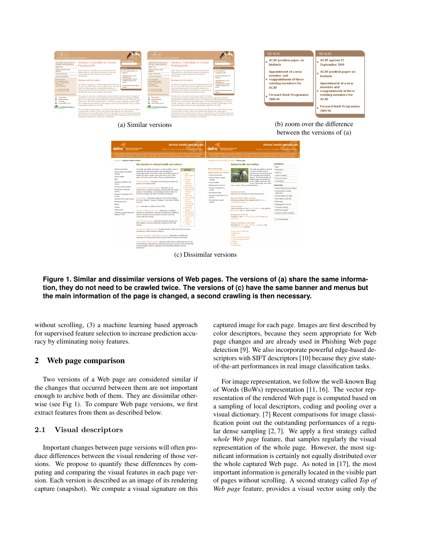

(a) Similar versions (b) zoom over the difference between the versions of (a)

| <b>Department for Environment</b><br>final and flural Affairs<br>detra |                                                                                                                                                                                                                                                       | <b>Animal health and welfare</b><br>Contact us   Access to information   News   Site A/Z   Search | <b>Department for Environment</b><br>Sood and Bural Affairs<br>defra |                                                                                             |                                                                                                                                                                                                                                                         | Animal health and welfare<br>Contact us   Access to information   News   Site A/Z   Search |
|------------------------------------------------------------------------|-------------------------------------------------------------------------------------------------------------------------------------------------------------------------------------------------------------------------------------------------------|---------------------------------------------------------------------------------------------------|----------------------------------------------------------------------|---------------------------------------------------------------------------------------------|---------------------------------------------------------------------------------------------------------------------------------------------------------------------------------------------------------------------------------------------------------|--------------------------------------------------------------------------------------------|
|                                                                        | Animal Health & Welfare   Economics & Statistics   Environmental Protection   Exports & Trade   Farming   Marine & fateries<br>Food & Drink   Hericulture   Plants & Seeds   Rural Affairs   Science   Sustainable Development   Westle & Countryside |                                                                                                   |                                                                      |                                                                                             | Azimal Health & Welfare   Economics & Statistics   Emissemental Protection   Exports & Trade   Farming   Marine & fisheries<br>Food & Drink   Hortculture   Plants & Seeds   Rural Affairs   Science   Sustainable Development   Wildlife & Countryside |                                                                                            |
| Hamesson > Animal health & welfare                                     |                                                                                                                                                                                                                                                       |                                                                                                   | Hamepoor > Animal health and welfare > Home page                     |                                                                                             |                                                                                                                                                                                                                                                         |                                                                                            |
|                                                                        | Introduction to Animal health and welfare                                                                                                                                                                                                             |                                                                                                   |                                                                      | Animal health and welfare                                                                   |                                                                                                                                                                                                                                                         | Looking for                                                                                |
|                                                                        |                                                                                                                                                                                                                                                       |                                                                                                   |                                                                      |                                                                                             |                                                                                                                                                                                                                                                         | <b>F Navys</b>                                                                             |
| Animal by-products                                                     | The health and welfare of animals is pentral to Defra's work of<br>protecting and improving livestock and controlling and                                                                                                                             | Oxédé Sokie                                                                                       | Defra home page                                                      |                                                                                             | The health and welfare of animals<br>is neetral to Defia's week of                                                                                                                                                                                      | <b>Confessions</b>                                                                         |
| Animal health and welfare                                              | eradicating disease. The Animal Health and Welfare pages are                                                                                                                                                                                          | $+$ Adam                                                                                          | Animal health and welfare                                            |                                                                                             | protecting and improving livestock                                                                                                                                                                                                                      | Statistics                                                                                 |
| strategy                                                               | divided into various subject assas each with its own 'Home                                                                                                                                                                                            | Influence (bird)                                                                                  | * Animal by-products                                                 |                                                                                             | and controlling and eradicating                                                                                                                                                                                                                         | Crarts & funding                                                                           |
| Animal welfare                                                         | page' and 'Latest news' section. These are detailed below.                                                                                                                                                                                            | <b>OLD</b>                                                                                        | . Arimal health & welfare                                            |                                                                                             | disease. The Animal Health and                                                                                                                                                                                                                          | Forms & licences                                                                           |
| <b>RSF</b>                                                             |                                                                                                                                                                                                                                                       | $-$ Livestock                                                                                     | strategy                                                             |                                                                                             | Welfare pages are divided into<br>various subject areas each with                                                                                                                                                                                       | Consultations                                                                              |
| Disease suseillance and<br>casteri                                     | Animal by-products - Information on the disposal of animal by-<br>products and catering waste.                                                                                                                                                        | markets<br>roadshow                                                                               | · Arimal welfare                                                     |                                                                                             | its own 'Home page' and 'Latest                                                                                                                                                                                                                         |                                                                                            |
|                                                                        |                                                                                                                                                                                                                                                       | · Bluetongue                                                                                      | . Bringing pets to the UK                                            | news' section. These are detailed below.                                                    |                                                                                                                                                                                                                                                         | Quick links                                                                                |
| Foot and mouth disease                                                 | Animal health and wellare strategy - Information on the                                                                                                                                                                                               | . Review of the                                                                                   | * Disease superlance &                                               |                                                                                             |                                                                                                                                                                                                                                                         | 2 Avinual Hawith Divisional Offices                                                        |
| Government Veterinary<br>Journal                                       | introduction of a national strategy for animal health and welfare<br>policies in Great Britain, to be developed jointly by Defra. the                                                                                                                 | <b>Animal Health</b><br>& Welfare                                                                 | control                                                              | Azimal by products                                                                          |                                                                                                                                                                                                                                                         | 7 Animal health & welfare                                                                  |
| Livestock movements. D.A.                                              | Scottish Assembly and Welsh Assembly Government                                                                                                                                                                                                       | Delivery                                                                                          | · International trade                                                | Information on the disposal of animal by-oroducts.                                          |                                                                                                                                                                                                                                                         | publications                                                                               |
| tracing                                                                |                                                                                                                                                                                                                                                       | Landscape                                                                                         | . Livestock movements. ID &                                          |                                                                                             |                                                                                                                                                                                                                                                         | > Animal Welfare Art 2006                                                                  |
| Personal food & plant imports                                          | Animal welfare - Information relating to Farm Animal Welfare                                                                                                                                                                                          | $-$ Responsibility                                                                                | tracing                                                              | Animal health & welfare strategy                                                            |                                                                                                                                                                                                                                                         | Avian Influenza (bird field                                                                |
| International trade                                                    | (On Farm, Markets, Transport, Slaughter, Farm Animal Welfare,                                                                                                                                                                                         | and cost<br>sharing for                                                                           | . Personal food & olant                                              | Information relating to the strategy and the England<br>Intelementation Group.              |                                                                                                                                                                                                                                                         | <b>Buttonaue</b>                                                                           |
| Rabins                                                                 | Council).                                                                                                                                                                                                                                             | animal bealth                                                                                     | imparts                                                              |                                                                                             |                                                                                                                                                                                                                                                         | Bringing pats to the UK                                                                    |
| Scrasie                                                                | BSE - Information on BSE and other TSEs.                                                                                                                                                                                                              | and welfare                                                                                       |                                                                      | Animal welfare                                                                              |                                                                                                                                                                                                                                                         | Consumer working                                                                           |
| Tuberridosis                                                           |                                                                                                                                                                                                                                                       | $+$ 08 Poulty                                                                                     |                                                                      |                                                                                             | Latest information on the Animal Welfare Act and quidance                                                                                                                                                                                               |                                                                                            |
|                                                                        | Disease suveillance and control - Information on notifiable                                                                                                                                                                                           | register<br>$\bullet$ Reinging your                                                               |                                                                      | on demestic and farm animal welfare.                                                        |                                                                                                                                                                                                                                                         | CB Poultry register                                                                        |
| Veterinary Training Research<br>Initiative (VTRf)                      | diseases in Great Britain, zoangses and veterinary surveillance.<br>Advice on biosecurity best practice for all who come into                                                                                                                         | pats to Britain                                                                                   |                                                                      | <b>Bringing pats to the UK</b>                                                              |                                                                                                                                                                                                                                                         | > Livestock markets markbow                                                                |
|                                                                        | contact with form animals                                                                                                                                                                                                                             | · Personal food                                                                                   |                                                                      |                                                                                             | Guidance on the Pet Travel Scheme (PETS) and rabies                                                                                                                                                                                                     |                                                                                            |
|                                                                        |                                                                                                                                                                                                                                                       | A niger                                                                                           |                                                                      | quaranting.                                                                                 |                                                                                                                                                                                                                                                         | X GB Poulty Register                                                                       |
|                                                                        | Fect and mouth disease - information about the disease, the                                                                                                                                                                                           | imports.<br>$-$ Consumer                                                                          |                                                                      |                                                                                             |                                                                                                                                                                                                                                                         |                                                                                            |
|                                                                        | 2001 epidemic and the Government's response to the FMD.<br>incuries                                                                                                                                                                                   | working                                                                                           |                                                                      | Disease surveillance and control<br>Information on biosecurity, veterinary surveillance and |                                                                                                                                                                                                                                                         |                                                                                            |
|                                                                        |                                                                                                                                                                                                                                                       |                                                                                                   |                                                                      | notifiable diseases including:                                                              |                                                                                                                                                                                                                                                         |                                                                                            |
|                                                                        | Government Veterinary Journal - An official journal of Defra and is the UK journal                                                                                                                                                                    |                                                                                                   |                                                                      |                                                                                             |                                                                                                                                                                                                                                                         |                                                                                            |
|                                                                        | specialising in State Veterinary Medicine.                                                                                                                                                                                                            |                                                                                                   |                                                                      | · Axian influenza (Bird fki)                                                                |                                                                                                                                                                                                                                                         |                                                                                            |
|                                                                        |                                                                                                                                                                                                                                                       |                                                                                                   |                                                                      | · Bluetoneue<br>$+$ RSF                                                                     |                                                                                                                                                                                                                                                         |                                                                                            |
|                                                                        | Livestock movements, identification and tracing - Information on identification,<br>registration & tracing of farm animals and the rules for livestock movements.                                                                                     |                                                                                                   |                                                                      | · Foure Infectious Assemia                                                                  |                                                                                                                                                                                                                                                         |                                                                                            |
|                                                                        |                                                                                                                                                                                                                                                       |                                                                                                   |                                                                      | . Fost and Mouth Disease.                                                                   |                                                                                                                                                                                                                                                         |                                                                                            |
|                                                                        | Personal food and plant imports - Information which aims to reduce the risk of exotic                                                                                                                                                                 |                                                                                                   |                                                                      | · Rabies                                                                                    |                                                                                                                                                                                                                                                         |                                                                                            |
|                                                                        | animal diseases, plant pests and diseases entering the country and then threatening                                                                                                                                                                   |                                                                                                   |                                                                      | · Scrapia<br>· Tuberculosis                                                                 |                                                                                                                                                                                                                                                         |                                                                                            |
|                                                                        | our public health, livestock, agriculture and horticultural industries and the                                                                                                                                                                        |                                                                                                   |                                                                      |                                                                                             |                                                                                                                                                                                                                                                         |                                                                                            |

(c) Dissimilar versions

<span id="page-1-0"></span>**Figure 1. Similar and dissimilar versions of Web pages. The versions of (a) share the same information, they do not need to be crawled twice. The versions of (c) have the same banner and menus but the main information of the page is changed, a second crawling is then necessary.**

without scrolling, (3) a machine learning based approach for supervised feature selection to increase prediction accuracy by eliminating noisy features.

# 2 Web page comparison

Two versions of a Web page are considered similar if the changes that occurred between them are not important enough to archive both of them. They are dissimilar otherwise (see Fig [1\)](#page-1-0). To compare Web page versions, we first extract features from them as described below.

# <span id="page-1-1"></span>2.1 Visual descriptors

Important changes between page versions will often produce differences between the visual rendering of those versions. We propose to quantify these differences by computing and comparing the visual features in each page version. Each version is described as an image of its rendering capture (snapshot). We compute a visual signature on this captured image for each page. Images are first described by color descriptors, because they seem appropriate for Web page changes and are already used in Phishing Web page detection [\[9\]](#page-5-5). We also incorporate powerful edge-based de-scriptors with SIFT descriptors [\[10\]](#page-5-6) because they give stateof-the-art performances in real image classification tasks.

For image representation, we follow the well-known Bag of Words (BoWs) representation [\[11,](#page-5-7) [16\]](#page-5-8). The vector representation of the rendered Web page is computed based on a sampling of local descriptors, coding and pooling over a visual dictionary. [\[7\]](#page-5-9) Recent comparisons for image classification point out the outstanding performances of a regular dense sampling [\[2,](#page-5-10) [7\]](#page-5-9). We apply a first strategy called *whole Web page* feature, that samples regularly the visual representation of the whole page. However, the most significant information is certainly not equally distributed over the whole captured Web page. As noted in [\[17\]](#page-5-11), the most important information is generally located in the visible part of pages without scrolling. A second strategy called *Top of Web page* feature, provides a visual vector using only the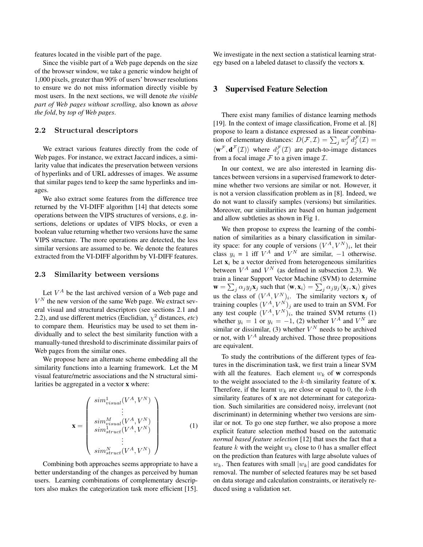features located in the visible part of the page.

Since the visible part of a Web page depends on the size of the browser window, we take a generic window height of 1,000 pixels, greater than 90% of users' browser resolutions to ensure we do not miss information directly visible by most users. In the next sections, we will denote *the visible part of Web pages without scrolling*, also known as *above the fold*, by *top of Web pages*.

## <span id="page-2-0"></span>2.2 Structural descriptors

We extract various features directly from the code of Web pages. For instance, we extract Jaccard indices, a similarity value that indicates the preservation between versions of hyperlinks and of URL addresses of images. We assume that similar pages tend to keep the same hyperlinks and images.

We also extract some features from the difference tree returned by the VI-DIFF algorithm [\[14\]](#page-5-3) that detects some operations between the VIPS structures of versions, e.g. insertions, deletions or updates of VIPS blocks, or even a boolean value returning whether two versions have the same VIPS structure. The more operations are detected, the less similar versions are assumed to be. We denote the features extracted from the VI-DIFF algorithm by VI-DIFF features.

#### <span id="page-2-1"></span>2.3 Similarity between versions

Let  $V^A$  be the last archived version of a Web page and  $V^N$  the new version of the same Web page. We extract several visual and structural descriptors (see sections [2.1](#page-1-1) and [2.2\)](#page-2-0), and use different metrics (Euclidian,  $\chi^2$  distances, *etc*) to compare them. Heuristics may be used to set them individually and to select the best similarity function with a manually-tuned threshold to discriminate dissimilar pairs of Web pages from the similar ones.

We propose here an alternate scheme embedding all the similarity functions into a learning framework. Let the M visual feature/metric associations and the N structural similarities be aggregated in a vector x where:

$$
\mathbf{x} = \begin{pmatrix} \operatorname{sim}_{visual}^{1}(V^{A}, V^{N}) \\ \vdots \\ \operatorname{sim}_{visual}^{M}(V^{A}, V^{N}) \\ \operatorname{sim}_{struct}^{1}(V^{A}, V^{N}) \\ \vdots \\ \operatorname{sim}_{struct}^{N}(V^{A}, V^{N}) \end{pmatrix}
$$
 (1)

Combining both approaches seems appropriate to have a better understanding of the changes as perceived by human users. Learning combinations of complementary descriptors also makes the categorization task more efficient [\[15\]](#page-5-12). We investigate in the next section a statistical learning strategy based on a labeled dataset to classify the vectors x.

## <span id="page-2-2"></span>3 Supervised Feature Selection

There exist many families of distance learning methods [\[19\]](#page-5-13). In the context of image classification, Frome et al. [\[8\]](#page-5-14) propose to learn a distance expressed as a linear combination of elementary distances:  $D(\mathcal{F}, \mathcal{I}) = \sum_j w_j^{\mathcal{F}} d_j^{\mathcal{F}}(\mathcal{I}) =$  $\langle \mathbf{w}^{\mathcal{F}}, \mathbf{d}^{\mathcal{F}}(\mathcal{I})\rangle$  where  $d_j^{\mathcal{F}}(\mathcal{I})$  are patch-to-image distances from a focal image  $\mathcal F$  to a given image  $\mathcal I$ .

In our context, we are also interested in learning distances between versions in a supervised framework to determine whether two versions are similar or not. However, it is not a version classification problem as in [\[8\]](#page-5-14). Indeed, we do not want to classify samples (versions) but similarities. Moreover, our similarities are based on human judgement and allow subtleties as shown in Fig [1.](#page-1-0)

We then propose to express the learning of the combination of similarities as a binary classification in similarity space: for any couple of versions  $(V^A, V^N)_i$ , let their class  $y_i = 1$  iff  $V^A$  and  $V^N$  are similar,  $-1$  otherwise. Let  $\mathbf{x}_i$  be a vector derived from heterogeneous similarities between  $V^A$  and  $V^N$  (as defined in subsection [2.3\)](#page-2-1). We train a linear Support Vector Machine (SVM) to determine  $\mathbf{w} = \sum_j \alpha_j y_j \mathbf{x}_j$  such that  $\langle \mathbf{w}, \mathbf{x}_i \rangle = \sum_j \alpha_j y_j \langle \mathbf{x}_j, \mathbf{x}_i \rangle$  gives us the class of  $(V^A, V^N)_i$ . The similarity vectors  $\mathbf{x}_j$  of training couples  $(V^A, V^N)_j$  are used to train an SVM. For any test couple  $(V^A, V^N)_i$ , the trained SVM returns (1) whether  $y_i = 1$  or  $y_i = -1$ , (2) whether  $V^A$  and  $V^N$  are similar or dissimilar, (3) whether  $V^N$  needs to be archived or not, with  $V^A$  already archived. Those three propositions are equivalent.

To study the contributions of the different types of features in the discrimination task, we first train a linear SVM with all the features. Each element  $w_k$  of **w** corresponds to the weight associated to the  $k$ -th similarity feature of  $x$ . Therefore, if the learnt  $w_k$  are close or equal to 0, the k-th similarity features of x are not determinant for categorization. Such similarities are considered noisy, irrelevant (not discriminant) in determining whether two versions are similar or not. To go one step further, we also propose a more explicit feature selection method based on the automatic *normal based feature selection* [\[12\]](#page-5-15) that uses the fact that a feature k with the weight  $w_k$  close to 0 has a smaller effect on the prediction than features with large absolute values of  $w_k$ . Then features with small  $|w_k|$  are good candidates for removal. The number of selected features may be set based on data storage and calculation constraints, or iteratively reduced using a validation set.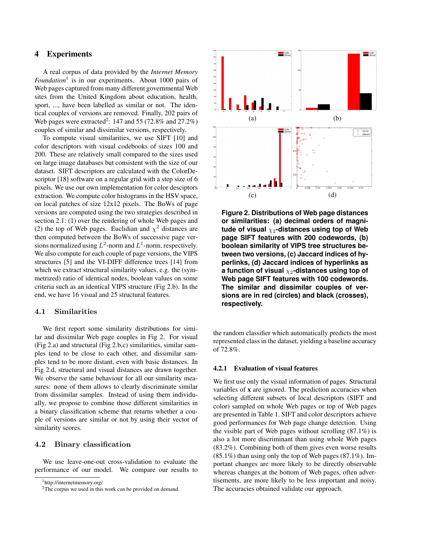# 4 Experiments

A real corpus of data provided by the *Internet Memory Foundation*[1](#page-3-0) is in our experiments. About 1000 pairs of Web pages captured from many different governmental Web sites from the United Kingdom about education, health, sport, ..., have been labelled as similar or not. The identical couples of versions are removed. Finally, 202 pairs of Web pages were extracted<sup>[2](#page-3-1)</sup>: 147 and 55 (72.8% and 27.2%) couples of similar and dissimilar versions, respectively.

To compute visual similarities, we use SIFT [\[10\]](#page-5-6) and color descriptors with visual codebooks of sizes 100 and 200. These are relatively small compared to the sizes used on large image databases but consistent with the size of our dataset. SIFT descriptors are calculated with the ColorDescriptor [\[18\]](#page-5-16) software on a regular grid with a step size of 6 pixels. We use our own implementation for color desciptors extraction. We compute color histograms in the HSV space, on local patches of size 12x12 pixels. The BoWs of page versions are computed using the two strategies described in section [2.1:](#page-1-1) (1) over the rendering of whole Web pages and (2) the top of Web pages. Euclidian and  $\chi^2$  distances are then computed between the BoWs of successive page versions normalized using  $L^2$ -norm and  $L^1$ -norm, respectively. We also compute for each couple of page versions, the VIPS structures [\[5\]](#page-5-2) and the VI-DIFF difference trees [\[14\]](#page-5-3) from which we extract structural similarity values, e.g. the (symmetrized) ratio of identical nodes, boolean values on some criteria such as an identical VIPS structure (Fig [2.](#page-3-2)b). In the end, we have 16 visual and 25 structural features.

## 4.1 Similarities

We first report some similarity distributions for similar and dissimilar Web page couples in Fig [2.](#page-3-2) For visual (Fig [2.](#page-3-2)a) and structural (Fig [2.](#page-3-2)b,c) similarities, similar samples tend to be close to each other, and dissimilar samples tend to be more distant, even with basic distances. In Fig [2.](#page-3-2)d, structural and visual distances are drawn together. We observe the same behaviour for all our similarity measures: none of them allows to clearly discriminate similar from dissimilar samples. Instead of using them individually, we propose to combine those different similarities in a binary classification scheme that returns whether a couple of versions are similar or not by using their vector of similarity scores.

### 4.2 Binary classification

We use leave-one-out cross-validation to evaluate the performance of our model. We compare our results to



<span id="page-3-2"></span>**Figure 2. Distributions of Web page distances or similarities: (a) decimal orders of magnitude of visual** <sub>χ2</sub>-distances using top of Web **page SIFT features with 200 codewords, (b) boolean similarity of VIPS tree structures between two versions, (c) Jaccard indices of hyperlinks, (d) Jaccard indices of hyperlinks as a function of visual <sub>** $X$ **2</sub>-distances using top of Web page SIFT features with 100 codewords. The similar and dissimilar couples of versions are in red (circles) and black (crosses), respectively.**

the random classifier which automatically predicts the most represented class in the dataset, yielding a baseline accuracy of 72.8%.

#### 4.2.1 Evaluation of visual features

We first use only the visual information of pages. Structural variables of x are ignored. The prediction accuracies when selecting different subsets of local descriptors (SIFT and color) sampled on whole Web pages or top of Web pages are presented in Table [1.](#page-4-0) SIFT and color descriptors achieve good performances for Web page change detection. Using the visible part of Web pages without scrolling  $(87.1\%)$  is also a lot more discriminant than using whole Web pages (83.2%). Combining both of them gives even worse results (85.1%) than using only the top of Web pages (87.1%). Important changes are more likely to be directly observable whereas changes at the bottom of Web pages, often advertisements, are more likely to be less important and noisy. The accuracies obtained validate our approach.

<span id="page-3-0"></span><sup>1</sup>http://internetmemory.org/

<span id="page-3-1"></span><sup>&</sup>lt;sup>2</sup>The corpus we used in this work can be provided on demand.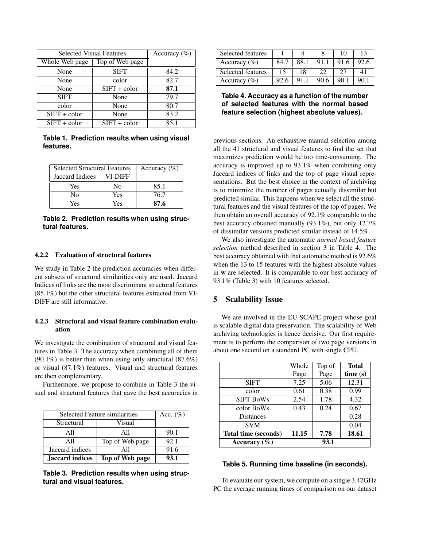| <b>Selected Visual Features</b> | Accuracy $(\% )$ |      |
|---------------------------------|------------------|------|
| Whole Web page                  | Top of Web page  |      |
| None                            | <b>SIFT</b>      | 84.2 |
| None                            | color            | 82.7 |
| None                            | $SIFT + color$   | 87.1 |
| <b>SIFT</b>                     | None             | 79.7 |
| color                           | None             | 80.7 |
| $SIFT + color$                  | None             | 83.2 |
| $SIFT + color$                  | $SIFT + color$   | 85.1 |

<span id="page-4-0"></span>**Table 1. Prediction results when using visual features.**

| <b>Selected Structural Features</b> | Accuracy $(\%)$ |      |
|-------------------------------------|-----------------|------|
| Jaccard Indices                     | VI-DIFF         |      |
| Yes                                 | No              | 85.1 |
| No                                  | Yes             | 76.7 |
| Yes                                 | Yes             | 87.6 |

<span id="page-4-1"></span>**Table 2. Prediction results when using structural features.**

#### 4.2.2 Evaluation of structural features

We study in Table [2](#page-4-1) the prediction accuracies when different subsets of structural similarities only are used. Jaccard Indices of links are the most discriminant structural features (85.1%) but the other structural features extracted from VI-DIFF are still informative.

## 4.2.3 Structural and visual feature combination evaluation

We investigate the combination of structural and visual features in Table [3.](#page-4-2) The accuracy when combining all of them (90.1%) is better than when using only structural (87.6%) or visual (87.1%) features. Visual and structural features are then complementary.

Furthermore, we propose to combine in Table [3](#page-4-2) the visual and structural features that gave the best accuracies in

| Selected Feature similarities | Acc. $(\%)$     |      |
|-------------------------------|-----------------|------|
| Visual<br>Structural          |                 |      |
| A11                           | All             | 90.1 |
| A11                           | Top of Web page | 92.1 |
| Jaccard indices               | All             |      |
| Jaccard indices               | Top of Web page | 93.1 |

<span id="page-4-2"></span>**Table 3. Prediction results when using structural and visual features.**

| Selected features |      |      |     | 10   |      |
|-------------------|------|------|-----|------|------|
| Accuracy $(\% )$  | 84.7 | 88.1 | 91. | 91.6 | 92.6 |
| Selected features |      | 18   | フフ  |      |      |
|                   |      |      |     |      |      |

<span id="page-4-3"></span>**Table 4. Accuracy as a function of the number of selected features with the normal based feature selection (highest absolute values).**

previous sections. An exhaustive manual selection among all the 41 structural and visual features to find the set that maximizes prediction would be too time-consuming. The accuracy is improved up to 93.1% when combining only Jaccard indices of links and the top of page visual representations. But the best choice in the context of archiving is to minimize the number of pages actually dissimilar but predicted similar. This happens when we select all the structural features and the visual features of the top of pages. We then obtain an overall accuracy of 92.1% comparable to the best accuracy obtained manually (93.1%), but only 12.7% of dissimilar versions predicted similar instead of 14.5%.

We also investigate the automatic *normal based feature selection* method described in section [3](#page-2-2) in Table [4.](#page-4-3) The best accuracy obtained with that automatic method is 92.6% when the 13 to 15 features with the highest absolute values in w are selected. It is comparable to our best accuracy of 93.1% (Table [3\)](#page-4-2) with 10 features selected.

# 5 Scalability Issue

We are involved in the EU SCAPE project whose goal is scalable digital data preservation. The scalability of Web archiving technologies is hence decisive. Our first requirement is to perform the comparison of two page versions in about one second on a standard PC with single CPU.

|                      | Whole | Top of | <b>Total</b> |
|----------------------|-------|--------|--------------|
|                      | Page  | Page   | time(s)      |
| <b>SIFT</b>          | 7.25  | 5.06   | 12.31        |
| color                | 0.61  | 0.38   | 0.99         |
| <b>SIFT BoWs</b>     | 2.54  | 1.78   | 4.32         |
| color BoWs           | 0.43  | 0.24   | 0.67         |
| <b>Distances</b>     |       |        | 0.28         |
| <b>SVM</b>           |       |        | 0.04         |
| Total time (seconds) | 11.15 | 7.78   | 18.61        |
| Accuracy $(\% )$     | 93.1  |        |              |

#### <span id="page-4-4"></span>**Table 5. Running time baseline (in seconds).**

To evaluate our system, we compute on a single 3.47GHz PC the average running times of comparison on our dataset